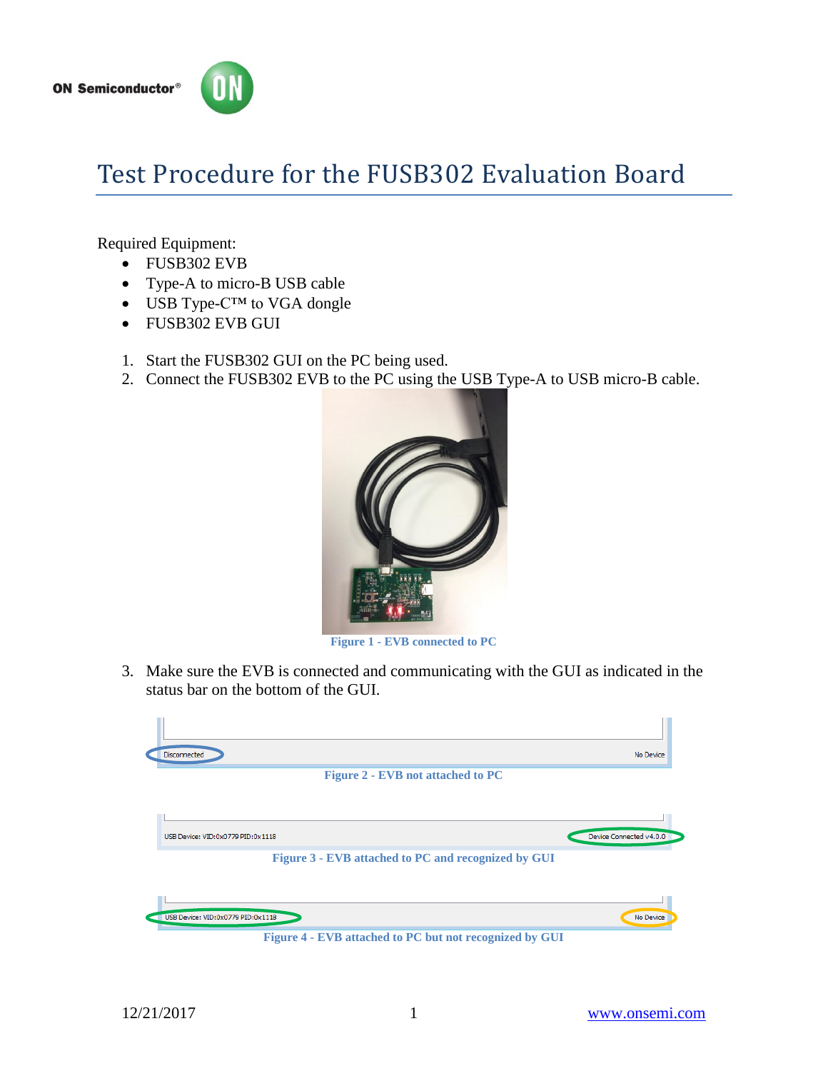

## Test Procedure for the FUSB302 Evaluation Board

Required Equipment:

- FUSB302 EVB
- Type-A to micro-B USB cable
- USB Type-C<sup>™</sup> to VGA dongle
- FUSB302 EVB GUI
- 1. Start the FUSB302 GUI on the PC being used.
- 2. Connect the FUSB302 EVB to the PC using the USB Type-A to USB micro-B cable.



**Figure 1 - EVB connected to PC**

3. Make sure the EVB is connected and communicating with the GUI as indicated in the status bar on the bottom of the GUI.

<span id="page-0-0"></span>